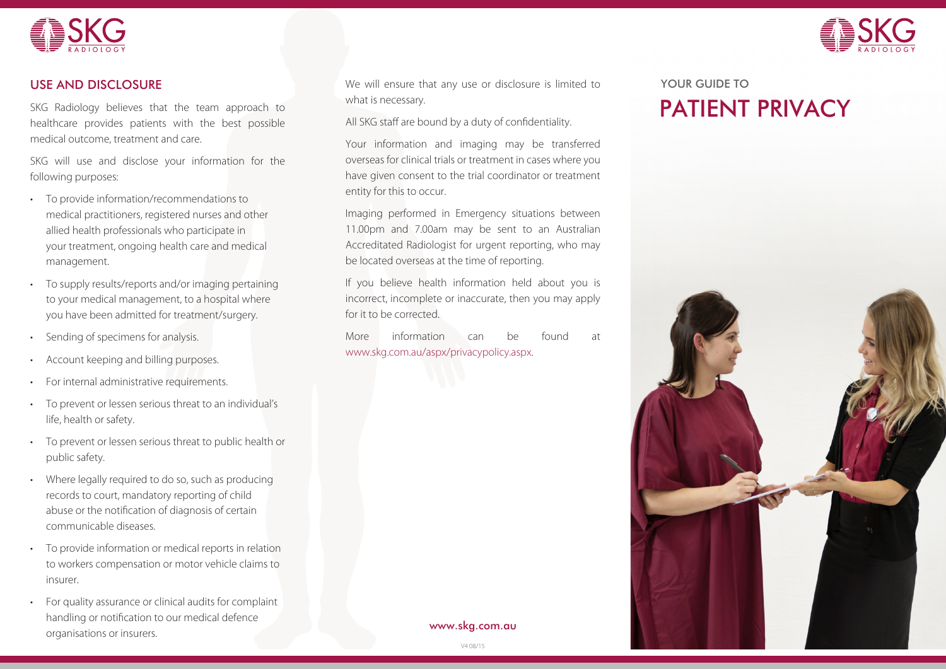



### USE AND DISCLOSURE

SKG Radiology believes that the team approach to healthcare provides patients with the best possible medical outcome, treatment and care.

SKG will use and disclose your information for the following purposes:

- • To provide information/recommendations to medical practitioners, registered nurses and other allied health professionals who participate in your treatment, ongoing health care and medical management.
- To supply results/reports and/or imaging pertaining to your medical management, to a hospital where you have been admitted for treatment/surgery.
- Sending of specimens for analysis.
- Account keeping and billing purposes.
- For internal administrative requirements.
- To prevent or lessen serious threat to an individual's life, health or safety.
- To prevent or lessen serious threat to public health or public safety.
- Where legally required to do so, such as producing records to court, mandatory reporting of child abuse or the notification of diagnosis of certain communicable diseases.
- To provide information or medical reports in relation to workers compensation or motor vehicle claims to insurer.
- For quality assurance or clinical audits for complaint handling or notification to our medical defence organisations or insurers.

We will ensure that any use or disclosure is limited to what is necessary.

All SKG staff are bound by a duty of confidentiality.

Your information and imaging may be transferred overseas for clinical trials or treatment in cases where you have given consent to the trial coordinator or treatment entity for this to occur.

Imaging performed in Emergency situations between 11.00pm and 7.00am may be sent to an Australian Accreditated Radiologist for urgent reporting, who may be located overseas at the time of reporting.

If you believe health information held about you is incorrect, incomplete or inaccurate, then you may apply for it to be corrected.

More information can be found at www.skg.com.au/aspx/privacypolicy.aspx.

# PATIENT PRIVACY YOUR GUIDE TO



www.skg.com.au

V4 08/15